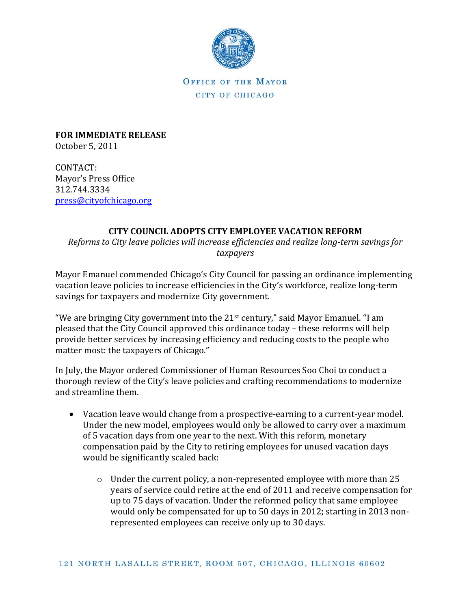

OFFICE OF THE MAYOR CITY OF CHICAGO

**FOR IMMEDIATE RELEASE** October 5, 2011

CONTACT: Mayor's Press Office 312.744.3334 [press@cityofchicago.org](mailto:press@cityofchicago.org)

## **CITY COUNCIL ADOPTS CITY EMPLOYEE VACATION REFORM**

*Reforms to City leave policies will increase efficiencies and realize long-term savings for taxpayers* 

Mayor Emanuel commended Chicago's City Council for passing an ordinance implementing vacation leave policies to increase efficiencies in the City's workforce, realize long-term savings for taxpayers and modernize City government.

"We are bringing City government into the  $21<sup>st</sup>$  century," said Mayor Emanuel. "I am pleased that the City Council approved this ordinance today – these reforms will help provide better services by increasing efficiency and reducing costs to the people who matter most: the taxpayers of Chicago."

In July, the Mayor ordered Commissioner of Human Resources Soo Choi to conduct a thorough review of the City's leave policies and crafting recommendations to modernize and streamline them.

- Vacation leave would change from a prospective-earning to a current-year model. Under the new model, employees would only be allowed to carry over a maximum of 5 vacation days from one year to the next. With this reform, monetary compensation paid by the City to retiring employees for unused vacation days would be significantly scaled back:
	- $\circ$  Under the current policy, a non-represented employee with more than 25 years of service could retire at the end of 2011 and receive compensation for up to 75 days of vacation. Under the reformed policy that same employee would only be compensated for up to 50 days in 2012; starting in 2013 nonrepresented employees can receive only up to 30 days.